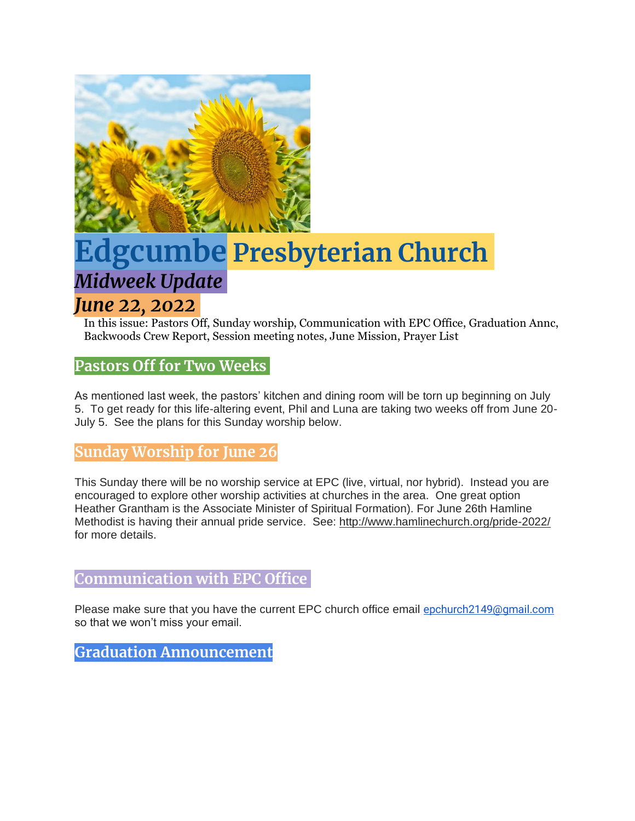

# **Edgcumbe Presbyterian Church** *Midweek Update*

# *June 22, 2022*

In this issue: Pastors Off, Sunday worship, Communication with EPC Office, Graduation Annc, Backwoods Crew Report, Session meeting notes, June Mission, Prayer List

## **Pastors Off for Two Weeks**

As mentioned last week, the pastors' kitchen and dining room will be torn up beginning on July 5. To get ready for this life-altering event, Phil and Luna are taking two weeks off from June 20- July 5. See the plans for this Sunday worship below.

### **Sunday Worship for June 26**

This Sunday there will be no worship service at EPC (live, virtual, nor hybrid). Instead you are encouraged to explore other worship activities at churches in the area. One great option Heather Grantham is the Associate Minister of Spiritual Formation). For June 26th Hamline Methodist is having their annual pride service. See: <http://www.hamlinechurch.org/pride-2022/> for more details.

#### **Communication with EPC Office**

Please make sure that you have the current EPC church office email [epchurch2149@gmail.com](mailto:epchurch2149@gmail.com) so that we won't miss your email.

**Graduation Announcement**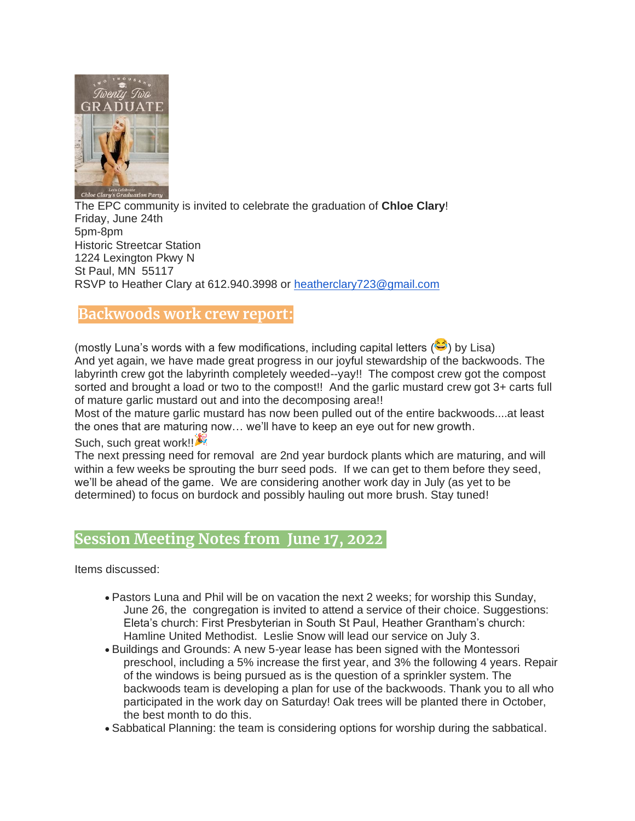

The EPC community is invited to celebrate the graduation of **Chloe Clary**! Friday, June 24th 5pm-8pm Historic Streetcar Station 1224 Lexington Pkwy N St Paul, MN 55117 RSVP to Heather Clary at 612.940.3998 or [heatherclary723@gmail.com](mailto:heatherclary723@gmail.com)

#### **Backwoods work crew report:**

(mostly Luna's words with a few modifications, including capital letters  $(\mathbf{C})$ ) by Lisa) And yet again, we have made great progress in our joyful stewardship of the backwoods. The labyrinth crew got the labyrinth completely weeded--yay!! The compost crew got the compost sorted and brought a load or two to the compost!! And the garlic mustard crew got 3+ carts full of mature garlic mustard out and into the decomposing area!!

Most of the mature garlic mustard has now been pulled out of the entire backwoods....at least the ones that are maturing now… we'll have to keep an eye out for new growth.

#### Such, such great work!

The next pressing need for removal are 2nd year burdock plants which are maturing, and will within a few weeks be sprouting the burr seed pods. If we can get to them before they seed, we'll be ahead of the game. We are considering another work day in July (as yet to be determined) to focus on burdock and possibly hauling out more brush. Stay tuned!

#### **Session Meeting Notes from June 17, 2022**

Items discussed:

- Pastors Luna and Phil will be on vacation the next 2 weeks; for worship this Sunday, June 26, the congregation is invited to attend a service of their choice. Suggestions: Eleta's church: First Presbyterian in South St Paul, Heather Grantham's church: Hamline United Methodist. Leslie Snow will lead our service on July 3.
- Buildings and Grounds: A new 5-year lease has been signed with the Montessori preschool, including a 5% increase the first year, and 3% the following 4 years. Repair of the windows is being pursued as is the question of a sprinkler system. The backwoods team is developing a plan for use of the backwoods. Thank you to all who participated in the work day on Saturday! Oak trees will be planted there in October, the best month to do this.
- Sabbatical Planning: the team is considering options for worship during the sabbatical.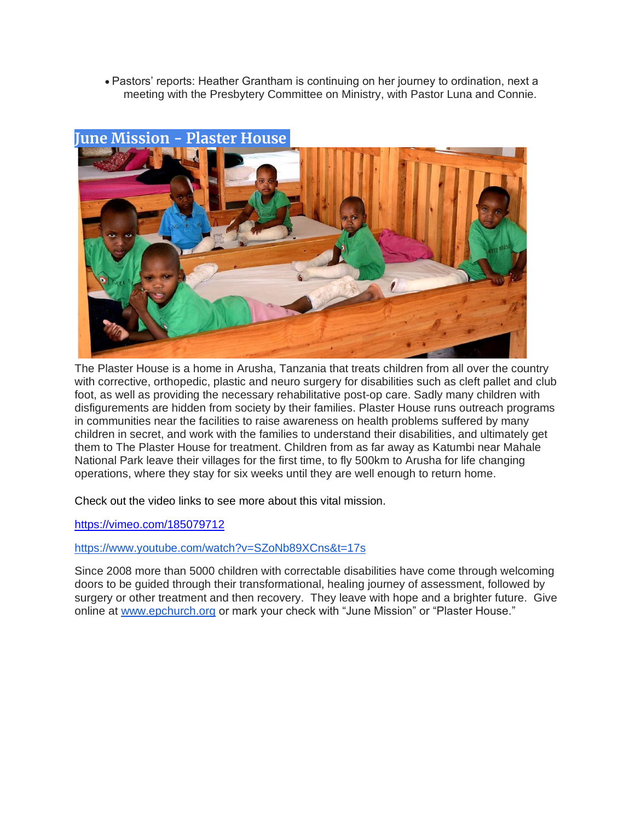• Pastors' reports: Heather Grantham is continuing on her journey to ordination, next a meeting with the Presbytery Committee on Ministry, with Pastor Luna and Connie.



### **June Mission - Plaster House**

The Plaster House is a home in Arusha, Tanzania that treats children from all over the country with corrective, orthopedic, plastic and neuro surgery for disabilities such as cleft pallet and club foot, as well as providing the necessary rehabilitative post-op care. Sadly many children with disfigurements are hidden from society by their families. Plaster House runs outreach programs in communities near the facilities to raise awareness on health problems suffered by many children in secret, and work with the families to understand their disabilities, and ultimately get them to The Plaster House for treatment. Children from as far away as Katumbi near Mahale National Park leave their villages for the first time, to fly 500km to Arusha for life changing operations, where they stay for six weeks until they are well enough to return home.

Check out the video links to see more about this vital mission.

<https://vimeo.com/185079712>

#### <https://www.youtube.com/watch?v=SZoNb89XCns&t=17s>

Since 2008 more than 5000 children with correctable disabilities have come through welcoming doors to be guided through their transformational, healing journey of assessment, followed by surgery or other treatment and then recovery. They leave with hope and a brighter future. Give online at [www.epchurch.org](http://www.epchurch.org/) or mark your check with "June Mission" or "Plaster House."